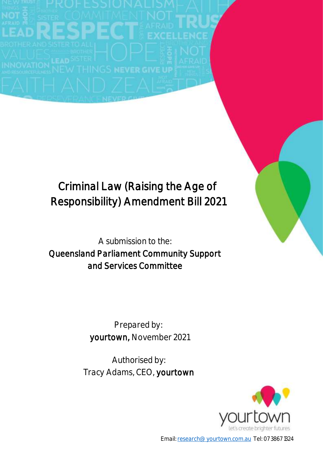# Criminal Law (Raising the Age of Responsibility) Amendment Bill 2021

A submission to the: Queensland Parliament Community Support and Services Committee

> Prepared by: yourtown, November 2021

Authorised by: Tracy Adams, CEO, yourtown



Email: [research@yourtown.com.au](mailto:research@yourtown.com.au) Tel: 07 3867 1324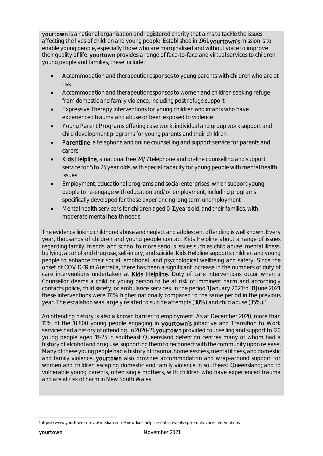yourtown is a national organisation and registered charity that aims to tackle the issues affecting the lives of children and young people. Established in 1961, yourtown's mission is to enable young people, especially those who are marginalised and without voice to improve their quality of life. yourtown provides a range of face-to-face and virtual services to children, young people and families, these include:

- Accommodation and therapeutic responses to young parents with children who are at risk
- Accommodation and therapeutic responses to women and children seeking refuge from domestic and family violence, including post refuge support
- Expressive Therapy interventions for young children and infants who have experienced trauma and abuse or been exposed to violence
- Young Parent Programs offering case work, individual and group work support and child development programs for young parents and their children
- Parentline, a telephone and online counselling and support service for parents and carers
- Kids Helpline, a national free 24/7 telephone and on-line counselling and support service for 5 to 25 year olds, with special capacity for young people with mental health issues
- Employment, educational programs and social enterprises, which support young people to re-engage with education and/or employment, including programs specifically developed for those experiencing long term unemployment
- Mental health service/s for children aged 0-11 years old, and their families, with moderate mental health needs.

The evidence linking childhood abuse and neglect and adolescent offending is well known. Every year, thousands of children and young people contact Kids Helpline about a range of issues regarding family, friends, and school to more serious issues such as child abuse, mental illness, bullying, alcohol and drug use, self-injury, and suicide. Kids Helpline supports children and young people to enhance their social, emotional, and psychological wellbeing and safety. Since the onset of COVID-19 in Australia, there has been a significant increase in the numbers of duty of care interventions undertaken at Kids Helpline. Duty of care interventions occur when a Counsellor deems a child or young person to be at risk of imminent harm and accordingly contacts police, child safety, or ambulance services. In the period 1 January 2021 to 31 June 2021, these interventions were 114% higher nationally compared to the same period in the previous year. The escalation was largely related to suicide attempts (38%) and child abuse (35%). $^{\rm 1}$ 

An offending history is also a known barrier to employment. As at December 2020, more than 10% of the 10,800 young people engaging in **yourtown's** jobactive and Transition to Work services had a history of offending. In 2020-21, yourtown provided counselling and support to 120 young people aged 18-25 in southeast Queensland detention centres many of whom had a history of alcohol and drug use, supporting them to reconnect with the community upon release. Many of these young people had a history of trauma, homelessness, mental illness, and domestic and family violence. yourtown also provides accommodation and wrap-around support for women and children escaping domestic and family violence in southeast Queensland; and to vulnerable young parents, often single mothers, with children who have experienced trauma and are at risk of harm in New South Wales.

<sup>-</sup><sup>1</sup> https://www.yourtown.com.au/media-centre/new-kids-helpline-data-reveals-spike-duty-care-interventions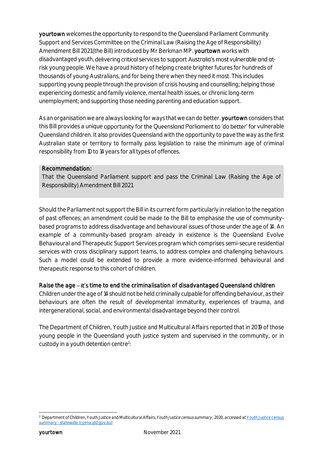yourtown welcomes the opportunity to respond to the Queensland Parliament Community Support and Services Committee on the Criminal Law (Raising the Age of Responsibility) Amendment Bill 2021 (the Bill) introduced by Mr Berkman MP. yourtown works with disadvantaged youth, delivering critical services to support Australia's most vulnerable and atrisk young people. We have a proud history of helping create brighter futures for hundreds of thousands of young Australians, and for being there when they need it most. This includes supporting young people through the provision of crisis housing and counselling; helping those experiencing domestic and family violence, mental health issues, or chronic long-term unemployment; and supporting those needing parenting and education support.

As an organisation we are always looking for ways that we can do better. yourtown considers that this Bill provides a unique opportunity for the Queensland Parliament to 'do better' for vulnerable Queensland children. It also provides Queensland with the opportunity to pave the way as the first Australian state or territory to formally pass legislation to raise the minimum age of criminal responsibility from 10 to 14 years for all types of offences.

#### Recommendation:

That the Queensland Parliament support and pass the Criminal Law (Raising the Age of Responsibility) Amendment Bill 2021.

Should the Parliament not support the Bill in its current form particularly in relation to the negation of past offences; an amendment could be made to the Bill to emphasise the use of communitybased programs to address disadvantage and behavioural issues of those under the age of 14. An example of a community-based program already in existence is the Queensland Evolve Behavioural and Therapeutic Support Services program which comprises semi-secure residential services with cross disciplinary support teams, to address complex and challenging behaviours. Such a model could be extended to provide a more evidence-informed behavioural and therapeutic response to this cohort of children.

### Raise the age - it's time to end the criminalisation of disadvantaged Queensland children

Children under the age of 14 should not be held criminally culpable for offending behaviour, as their behaviours are often the result of developmental immaturity, experiences of trauma, and intergenerational, social, and environmental disadvantage beyond their control.

The Department of Children, Youth Justice and Multicultural Affairs reported that in 2019 of those young people in the Queensland youth justice system and supervised in the community, or in custody in a youth detention centre<sup>2</sup>:

<sup>-</sup><sup>2</sup> Department of Children, Youth Justice and Multicultural Affairs, *Youth Justice census summary* , 2020, accessed at <u>Youth Justice census</u> summary - [statewide \(cyjma.qld.gov.au\)](https://www.cyjma.qld.gov.au/resources/dcsyw/youth-justice/resources/yj-census-summary-statewide.pdf)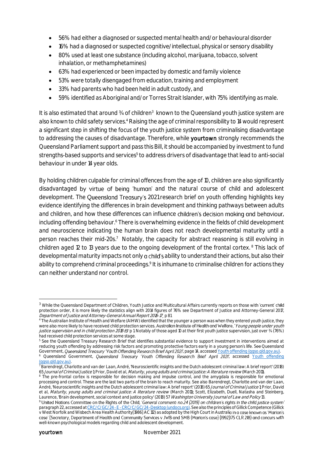- 56% had either a diagnosed or suspected mental health and/or behavioural disorder
- 16% had a diagnosed or suspected cognitive/intellectual, physical or sensory disability
- 80% used at least one substance (including alcohol, marijuana, tobacco, solvent inhalation, or methamphetamines)
- 63% had experienced or been impacted by domestic and family violence
- 53% were totally disengaged from education, training and employment
- 33% had parents who had been held in adult custody, and
- 59% identified as Aboriginal and/or Torres Strait Islander, with 75% identifying as male.

It is also estimated that around 34 of children<sup>3</sup> known to the Queensland youth justice system are also known to child safety services.<sup>4</sup> Raising the age of criminal responsibility to 14 would represent a significant step in shifting the focus of the youth justice system from criminalising disadvantage to addressing the causes of disadvantage. Therefore, while yourtown strongly recommends the Queensland Parliament support and pass this Bill, it should be accompanied by investment to fund strengths-based supports and services<sup>5</sup> to address drivers of disadvantage that lead to anti-social behaviour in under 14 year olds.

By holding children culpable for criminal offences from the age of 10, children are also significantly disadvantaged by virtue of being 'human' and the natural course of child and adolescent development. The Queensland Treasury's 2021 research brief on youth offending highlights key evidence identifying the differences in brain development and thinking pathways between adults and children, and how these differences can influence children's decision making and behaviour, including offending behaviour. <sup>6</sup> There is overwhelming evidence in the fields of child development and neuroscience indicating the human brain does not reach developmental maturity until a person reaches their mid-20s.<sup>7</sup> Notably, the capacity for abstract reasoning is still evolving in children aged 12 to 13 years due to the ongoing development of the frontal cortex. <sup>8</sup> This lack of developmental maturity impacts not only a child's ability to understand their actions, but also their ability to comprehend criminal proceedings.<sup>9</sup> It is inhumane to criminalise children for actions they can neither understand nor control.

-

<sup>&</sup>lt;sup>3</sup> While the Queensland Department of Children, Youth Justice and Multicultural Affairs currently reports on those with 'current' child protection order, it is more likely the statistics align with 2014 figures of 76% see Department of Justice and Attorney-General 2017, Department of Justice and Attorney-General Annual Report 2016-17¸ p 81

<sup>4</sup> The Australian Institute of Health and Welfare (AIHW) identified that the younger a person was when they entered youth justice, they were also more likely to have received child protection services. Australian Institute of Health and Welfare, 'Young people under youth justice supervision and in child protection 2018-19'p 1. Notably of those aged 10 at their first youth justice supervision, just over ¾ (76%) had received child protection services at some stage.

<sup>5</sup> See the Queensland Treasury Research Brief that identifies substantial evidence to support investment in interventions aimed at reducing youth offending by addressing risk factors and promoting protective factors early in a young person's life. See Queensland Government, Queensland Treasury 'Youth Offending Research Brief April 2021', page 14, accesse[d Youth offending \(qgso.qld.gov.au\).](https://www.qgso.qld.gov.au/issues/10321/youth-offending-april-2021-edn.pdf) Queensland Government, Queensland Treasury 'Youth Offending Research Brief April 2021', accessed Youth offending [\(qgso.qld.gov.au\).](https://www.qgso.qld.gov.au/issues/10321/youth-offending-april-2021-edn.pdf) 

 $^7$  Barendregt, Charlotte and van der Laan, André, 'Neuroscientific insights and the Dutch adolescent criminal law: A brief report' (2018) 65 Journal of Criminal Justice 1; Prior, David et al, Maturity, young adults and criminal justice: A literature review (March 2011).

<sup>&</sup>lt;sup>8</sup> The pre-frontal cortex is responsible for decision making and impulse control, and the amygdala is responsible for emotional processing and control. These are the last two parts of the brain to reach maturity. See also Barendregt, Charlotte and van der Laan, André, 'Neuroscientific insights and the Dutch adolescent criminal law: A brief report' (2018) 65 Journal of Criminal Justice 1; Prior, David et al, Maturity, young adults and criminal justice: A literature review (March 2011); Scott, Elizabeth, Duell, Natasha and Steinberg, Laurence, 'Brain development, social context and justice policy' (2018) 57 Washington University Journal of Law and Policy 13.

of the Nations Committee on the Rights of the Child, 'General comment: no.24 (2019) on children's rights in the child justice system' paragraph 22, accessed at CRC/C/GC/24 - E - CRC/C/GC/24 - Desktop (undocs.org). See also the principles of Gillick Competence (Gillick v West Norfolk and Wisbech Area Health Authority[1986] AC 112) as adopted by the High Court in Australi th well-known psychological models regarding child and adolescent development.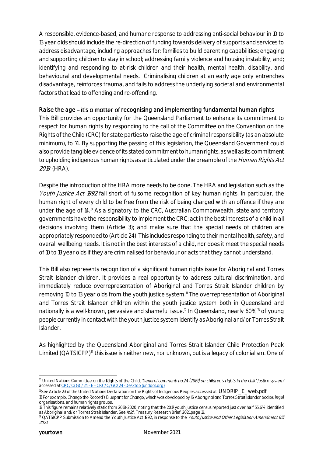A responsible, evidence-based, and humane response to addressing anti-social behaviour in 10 to 13 year olds should include the re-direction of funding towards delivery of supports and services to address disadvantage, including approaches for: families to build parenting capabilities; engaging and supporting children to stay in school; addressing family violence and housing instability, and; identifying and responding to at-risk children and their health, mental health, disability, and behavioural and developmental needs. Criminalising children at an early age only entrenches disadvantage, reinforces trauma, and fails to address the underlying societal and environmental factors that lead to offending and re-offending.

### Raise the age – it's a matter of recognising and implementing fundamental human rights

This Bill provides an opportunity for the Queensland Parliament to enhance its commitment to respect for human rights by responding to the call of the Committee on the Convention on the Rights of the Child (CRC) for state parties to raise the age of criminal responsibility (as an absolute minimum), to 14. By supporting the passing of this legislation, the Queensland Government could also provide tangible evidence of its stated commitment to human rights, as well as its commitment to upholding indigenous human rights as articulated under the preamble of the Human Rights Act 2019 (HRA).

Despite the introduction of the HRA more needs to be done. The HRA and legislation such as the Youth Justice Act 1992 fall short of fulsome recognition of key human rights. In particular, the human right of every child to be free from the risk of being charged with an offence if they are under the age of 14.<sup>10</sup> As a signatory to the CRC, Australian Commonwealth, state and territory governments have the responsibility to implement the CRC; act in the best interests of a child in all decisions involving them (Article 3); and make sure that the special needs of children are appropriately responded to (Article 24). This includes responding to their mental health, safety, and overall wellbeing needs. It is not in the best interests of a child, nor does it meet the special needs of 10 to 13 year olds if they are criminalised for behaviour or acts that they cannot understand.

This Bill also represents recognition of a significant human rights issue for Aboriginal and Torres Strait Islander children. It provides a real opportunity to address cultural discrimination, and immediately reduce overrepresentation of Aboriginal and Torres Strait Islander children by removing 10 to 13 year olds from the youth justice system.<sup>11</sup> The overrepresentation of Aboriginal and Torres Strait Islander children within the youth justice system both in Queensland and nationally is a well-known, pervasive and shameful issue.<sup>12</sup> In Queensland, nearly 60%<sup>13</sup> of young people currently in contact with the youth justice system identify as Aboriginal and/or Torres Strait Islander.

As highlighted by the Queensland Aboriginal and Torres Strait Islander Child Protection Peak Limited (QATSICPP)<sup>14</sup> this issue is neither new, nor unknown, but is a legacy of colonialism. One of

<sup>11</sup> See Article 23 of the United Nations Declaration on the Rights of Indigenous Peoples accessed at [UNDRIP\\_E\\_web.pdf](https://www.un.org/development/desa/indigenouspeoples/wp-content/uploads/sites/19/2018/11/UNDRIP_E_web.pdf)

**<sup>-</sup>** $10$  United Nations Committee on the Rights of the Child, General comment: no.24 (2019) on children's rights in the child justice system' accessed at CRC/C/GC/24 - E - [CRC/C/GC/24 -Desktop \(undocs.org\)](https://undocs.org/CRC/C/GC/24)

<sup>12</sup> For example, Change the Record's Blueprint for Change, which was developed by 16 Aboriginal and Torres Strait Islander bodies, legal organisations, and human rights groups.

<sup>13</sup> This figure remains relatively static from 2018-2020, noting that the 2017 youth justice census reported just over half 55.6% identified as Aboriginal and/or Torres Strait Islander, See Ibid., Treasury Research Brief, 2021 page 12.

<sup>&</sup>lt;sup>14</sup> QATSICPP Submission to Amend the Youth Justice Act 1992, in response to the Youth Justice and Other Legislation Amendment Bill 2021.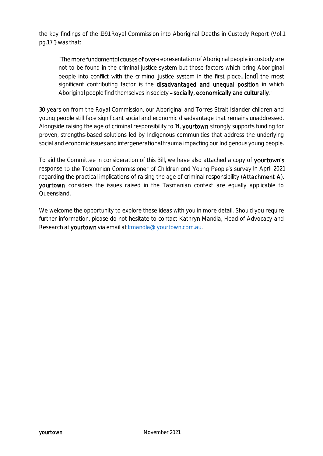the key findings of the 1991 Royal Commission into Aboriginal Deaths in Custody Report (Vol.1 pg.1.7.1) was that:

"The more fundamental causes of over-representation of Aboriginal people in custody are not to be found in the criminal justice system but those factors which bring Aboriginal people into conflict with the criminal justice system in the first place...[and] the most significant contributing factor is the disadvantaged and unequal position in which Aboriginal people find themselves in society - socially, economically and culturally.'

30 years on from the Royal Commission, our Aboriginal and Torres Strait Islander children and young people still face significant social and economic disadvantage that remains unaddressed. Alongside raising the age of criminal responsibility to 14, yourtown strongly supports funding for proven, strengths-based solutions led by Indigenous communities that address the underlying social and economic issues and intergenerational trauma impacting our Indigenous young people.

To aid the Committee in consideration of this Bill, we have also attached a copy of yourtown's response to the Tasmanian Commissioner of Children and Young People's survey in April 2021 regarding the practical implications of raising the age of criminal responsibility (Attachment A). yourtown considers the issues raised in the Tasmanian context are equally applicable to **Queensland** 

We welcome the opportunity to explore these ideas with you in more detail. Should you require further information, please do not hesitate to contact Kathryn Mandla, Head of Advocacy and Research at yourtown via email at [kmandla@yourtown.com.au.](mailto:kmandla@yourtown.com.au)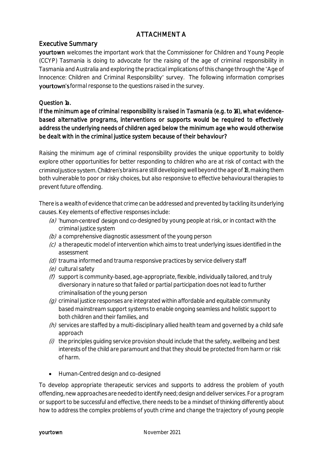# ATTACHMENT A

# Executive Summary

yourtown welcomes the important work that the Commissioner for Children and Young People (CCYP) Tasmania is doing to advocate for the raising of the age of criminal responsibility in Tasmania and Australia and exploring the practical implications of this change through the "Age of Innocence: Children and Criminal Responsibility" survey. The following information comprises yourtown's formal response to the questions raised in the survey.

# Question 1a.

If the minimum age of criminal responsibility is raised in Tasmania (e.g. to 14), what evidencebased alternative programs, interventions or supports would be required to effectively address the underlying needs of children aged below the minimum age who would otherwise be dealt with in the criminal justice system because of their behaviour?

Raising the minimum age of criminal responsibility provides the unique opportunity to boldly explore other opportunities for better responding to children who are at risk of contact with the criming justice system. Children's brains are still developing well beyond the age of 18, making them both vulnerable to poor or risky choices, but also responsive to effective behavioural therapies to prevent future offending.

There is a wealth of evidence that crime can be addressed and prevented by tackling its underlying causes. Key elements of effective responses include:

- (a) 'human-centred' design and co-designed by young people at risk, or in contact with the criminal justice system
- $(b)$  a comprehensive diagnostic assessment of the young person
- $(c)$  a therapeutic model of intervention which aims to treat underlying issues identified in the assessment
- (d) trauma informed and trauma responsive practices by service delivery staff
- (e) cultural safety
- $(f)$  support is community-based, age-appropriate, flexible, individually tailored, and truly diversionary in nature so that failed or partial participation does not lead to further criminalisation of the young person
- $(q)$  criminal justice responses are integrated within affordable and equitable community based mainstream support systems to enable ongoing seamless and holistic support to both children and their families, and
- $(h)$  services are staffed by a multi-disciplinary allied health team and governed by a child safe approach
- $(i)$  the principles quiding service provision should include that the safety, wellbeing and best interests of the child are paramount and that they should be protected from harm or risk of harm.
- Human-Centred design and co-designed

To develop appropriate therapeutic services and supports to address the problem of youth offending, new approaches are needed to identify need; design and deliver services. For a program or support to be successful and effective, there needs to be a mindset of thinking differently about how to address the complex problems of youth crime and change the trajectory of young people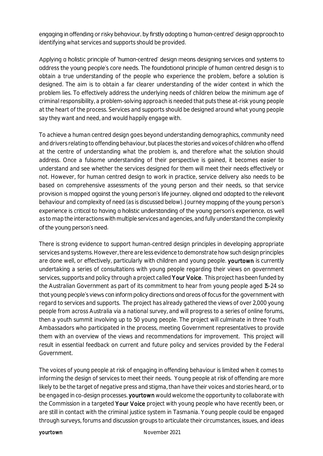engaging in offending or risky behaviour, by firstly adopting a 'human-centred' design approach to identifying what services and supports should be provided.

Applying a holistic principle of 'human-centred' desian means desianing services and systems to address the young people's core needs. The foundational principle of human centred design is to obtain a true understanding of the people who experience the problem, before a solution is designed. The aim is to obtain a far clearer understanding of the wider context in which the problem lies. To effectively address the underlying needs of children below the minimum age of criminal responsibility, a problem-solving approach is needed that puts these at-risk young people at the heart of the process. Services and supports should be designed around what young people say they want and need, and would happily engage with.

To achieve a human centred design goes beyond understanding demographics, community need and drivers relating to offending behaviour, but places the stories and voices of children who offend at the centre of understanding what the problem is, and therefore what the solution should address. Once a fulsome understanding of their perspective is gained, it becomes easier to understand and see whether the services designed for them will meet their needs effectively or not. However, for human centred design to work in practice, service delivery also needs to be based on comprehensive assessments of the young person and their needs, so that service provision is mapped against the young person's life journey, aligned and adapted to the relevant behaviour and complexity of need (as is discussed below). Journey mapping of the young person's experience is critical to having a holistic understanding of the young person's experience, as well as to map the interactions with multiple services and agencies, and fully understand the complexity of the young person's need.

There is strong evidence to support human-centred design principles in developing appropriate services and systems. However, there are less evidence to demonstrate how such design principles are done well, or effectively, particularly with children and young people. yourtown is currently undertaking a series of consultations with young people regarding their views on government services, supports and policy through a project called Your Voice. This project has been funded by the Australian Government as part of its commitment to hear from young people aged 15-24 so that young people's views can inform policy directions and areas of focus for the government with regard to services and supports. The project has already gathered the views of over 2,000 young people from across Australia via a national survey, and will progress to a series of online forums, then a youth summit involving up to 50 young people. The project will culminate in three Youth Ambassadors who participated in the process, meeting Government representatives to provide them with an overview of the views and recommendations for improvement. This project will result in essential feedback on current and future policy and services provided by the Federal Government.

The voices of young people at risk of engaging in offending behaviour is limited when it comes to informing the design of services to meet their needs. Young people at risk of offending are more likely to be the target of negative press and stigma, than have their voices and stories heard, or to be engaged in co-design processes. yourtown would welcome the opportunity to collaborate with the Commission in a targeted Your Voice project with young people who have recently been, or are still in contact with the criminal justice system in Tasmania. Young people could be engaged through surveys, forums and discussion groups to articulate their circumstances, issues, and ideas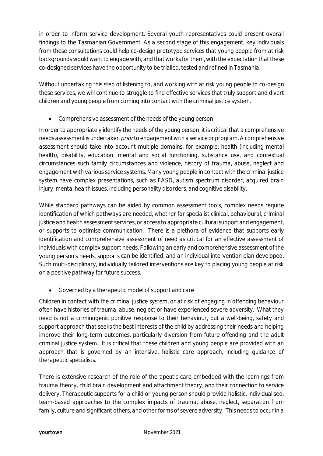in order to inform service development. Several youth representatives could present overall findings to the Tasmanian Government. As a second stage of this engagement, key individuals from these consultations could help co-design prototype services that young people from at risk backgrounds would want to engage with, and that works for them, with the expectation that these co-designed services have the opportunity to be trialled, tested and refined in Tasmania.

Without undertaking this step of listening to, and working with at risk young people to co-design these services, we will continue to struggle to find effective services that truly support and divert children and young people from coming into contact with the criminal justice system.

Comprehensive assessment of the needs of the young person

In order to appropriately identify the needs of the young person, it is critical that a comprehensive needs assessment is undertaken *prior* to engagement with a service or program. A comprehensive assessment should take into account multiple domains, for example: health (including mental health), disability, education, mental and social functioning, substance use, and contextual circumstances such family circumstances and violence, history of trauma, abuse, neglect and engagement with various service systems. Many young people in contact with the criminal justice system have complex presentations, such as FASD, autism spectrum disorder, acquired brain injury, mental health issues, including personality disorders, and cognitive disability.

While standard pathways can be aided by common assessment tools, complex needs require identification of which pathways are needed, whether for specialist clinical, behavioural, criminal justice and health assessment services, or access to appropriate cultural support and engagement, or supports to optimise communication. There is a plethora of evidence that supports early identification and comprehensive assessment of need as critical for an effective assessment of individuals with complex support needs. Following an early and comprehensive assessment of the young person's needs, supports can be identified, and an individual intervention plan developed. Such multi-disciplinary, individually tailored interventions are key to placing young people at risk on a positive pathway for future success.

Governed by a therapeutic model of support and care

Children in contact with the criminal justice system, or at risk of engaging in offending behaviour often have histories of trauma, abuse, neglect or have experienced severe adversity. What they need is not a criminogenic punitive response to their behaviour, but a well-being, safety and support approach that seeks the best interests of the child by addressing their needs and helping improve their long-term outcomes, particularly diversion from future offending and the adult criminal justice system. It is critical that these children and young people are provided with an approach that is governed by an intensive, holistic care approach, including guidance of therapeutic specialists.

There is extensive research of the role of therapeutic care embedded with the learnings from trauma theory, child brain development and attachment theory, and their connection to service delivery. Therapeutic supports for a child or young person should provide holistic, individualised, team-based approaches to the complex impacts of trauma, abuse, neglect, separation from family, culture and significant others, and other forms of severe adversity. This needs to occur in a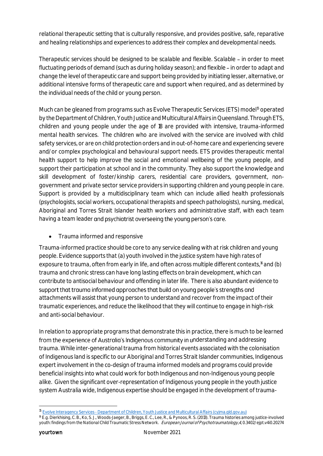relational therapeutic setting that is culturally responsive, and provides positive, safe, reparative and healing relationships and experiences to address their complex and developmental needs.

Therapeutic services should be designed to be scalable and flexible. Scalable - in order to meet fluctuating periods of demand (such as during holiday season); and flexible - in order to adapt and change the level of therapeutic care and support being provided by initiating lesser, alternative, or additional intensive forms of therapeutic care and support when required, and as determined by the individual needs of the child or young person.

Much can be gleaned from programs such as Evolve Therapeutic Services (ETS) model<sup>15</sup> operated by the Department of Children, Youth Justice and Multicultural Affairs in Queensland. Through ETS, children and young people under the age of 18 are provided with intensive, trauma-informed mental health services. The children who are involved with the service are involved with child safety services, or are on child protection orders and in out-of-home care and experiencing severe and/or complex psychological and behavioural support needs. ETS provides therapeutic mental health support to help improve the social and emotional wellbeing of the young people, and support their participation at school and in the community. They also support the knowledge and skill development of foster/kinship carers, residential care providers, government, nongovernment and private sector service providers in supporting children and young people in care. Support is provided by a multidisciplinary team which can include allied health professionals (psychologists, social workers, occupational therapists and speech pathologists), nursing, medical, Aboriginal and Torres Strait Islander health workers and administrative staff, with each team having a team leader and psychiatrist overseeing the young person's care.

Trauma informed and responsive

Trauma-informed practice should be core to any service dealing with at risk children and young people. Evidence supports that (a) youth involved in the justice system have high rates of exposure to trauma, often from early in life, and often across multiple different contexts,<sup>16</sup> and (b) trauma and chronic stress can have long lasting effects on brain development, which can contribute to antisocial behaviour and offending in later life. There is also abundant evidence to support that trauma informed approaches that build on young people's strengths and attachments will assist that young person to understand and recover from the impact of their traumatic experiences, and reduce the likelihood that they will continue to engage in high-risk and anti-social behaviour.

In relation to appropriate programs that demonstrate this in practice, there is much to be learned from the experience of Australia's Indigenous community in understanding and addressing trauma. While inter-generational trauma from historical events associated with the colonisation of Indigenous land is specific to our Aboriginal and Torres Strait Islander communities, Indigenous expert involvement in the co-design of trauma informed models and programs could provide beneficial insights into what could work for both Indigenous and non-Indigenous young people alike. Given the significant over-representation of Indigenous young people in the youth justice system Australia wide, Indigenous expertise should be engaged in the development of trauma-

1

<sup>15</sup> Evolve Interagency Services - [Department of Children, Youth Justice and Multicultural Affairs \(cyjma.qld.gov.au\)](https://www.cyjma.qld.gov.au/about-us/partners/child-family/our-government-partners/evolve-interagency-services)

<sup>16</sup> E.g. Dierkhising, C. B., Ko, S. J., Woods-Jaeger, B., Briggs, E. C., Lee, R., & Pynoos, R. S. (2013). Trauma histories among justice-involved youth: findings from the National Child Traumatic Stress Network. European Journal of Psychotraumatology, 4, 0.3402/ejpt.v4i0.20274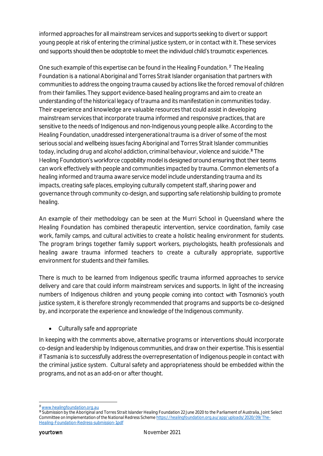informed approaches for all mainstream services and supports seeking to divert or support young people at risk of entering the criminal justice system, or in contact with it. These services and supports should then be adaptable to meet the individual child's traumatic experiences.

One such example of this expertise can be found in the Healing Foundation.<sup>17</sup> The Healing Foundation is a national Aboriginal and Torres Strait Islander organisation that partners with communities to address the ongoing trauma caused by actions like the forced removal of children from their families. They support evidence-based healing programs and aim to create an understanding of the historical legacy of trauma and its manifestation in communities today. Their experience and knowledge are valuable resources that could assist in developing mainstream services that incorporate trauma informed and responsive practices, that are sensitive to the needs of Indigenous and non-Indigenous young people alike. According to the Healing Foundation, unaddressed intergenerational trauma is a driver of some of the most serious social and wellbeing issues facing Aboriginal and Torres Strait Islander communities today, including drug and alcohol addiction, criminal behaviour, violence and suicide.<sup>18</sup> The Healing Foundation's workforce capability model is designed around ensuring that their teams can work effectively with people and communities impacted by trauma. Common elements of a healing informed and trauma aware service model include understanding trauma and its impacts, creating safe places, employing culturally competent staff, sharing power and governance through community co-design, and supporting safe relationship building to promote healing.

An example of their methodology can be seen at the Murri School in Queensland where the Healing Foundation has combined therapeutic intervention, service coordination, family case work, family camps, and cultural activities to create a holistic healing environment for students. The program brings together family support workers, psychologists, health professionals and healing aware trauma informed teachers to create a culturally appropriate, supportive environment for students and their families.

There is much to be learned from Indigenous specific trauma informed approaches to service delivery and care that could inform mainstream services and supports. In light of the increasing numbers of Indigenous children and young people coming into contact with Tasmania's youth justice system, it is therefore strongly recommended that programs and supports be co-designed by, and incorporate the experience and knowledge of the Indigenous community.

• Culturally safe and appropriate

In keeping with the comments above, alternative programs or interventions should incorporate co-design and leadership by Indigenous communities, and draw on their expertise. This is essential if Tasmania is to successfully address the overrepresentation of Indigenous people in contact with the criminal justice system. Cultural safety and appropriateness should be embedded within the programs, and not as an add-on or after thought.

<sup>1</sup> <sup>17</sup> [www.healingfoundation.org.au](http://www.healingfoundation.org.au/)

<sup>&</sup>lt;sup>18</sup> Submission by the Aboriginal and Torres Strait Islander Healing Foundation 22 June 2020 to the Parliament of Australia, Joint Select Committee on Implementation of the National Redress Schem[e https://healingfoundation.org.au/app/uploads/2020/09/The-](https://healingfoundation.org.au/app/uploads/2020/09/The-Healing-Foundation-Redress-submission-1.pdf)[Healing-Foundation-Redress-submission-1.pdf](https://healingfoundation.org.au/app/uploads/2020/09/The-Healing-Foundation-Redress-submission-1.pdf)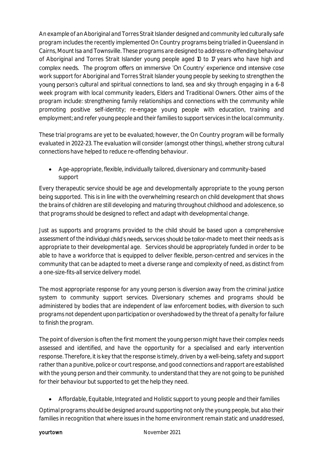An example of an Aboriginal and Torres Strait Islander designed and community led culturally safe program includes the recently implemented On Country programs being trialled in Queensland in Cairns, Mount Isa and Townsville. These programs are designed to address re-offending behaviour of Aboriginal and Torres Strait Islander young people aged 10 to 17 years who have high and complex needs. The program offers an immersive 'On Country' experience and intensive case work support for Aboriginal and Torres Strait Islander young people by seeking to strengthen the young person's cultural and spiritual connections to land, sea and sky through engaging in a 6-8 week program with local community leaders, Elders and Traditional Owners. Other aims of the program include: strengthening family relationships and connections with the community while promoting positive self-identity; re-engage young people with education, training and employment; and refer young people and their families to support services in the local community.

These trial programs are yet to be evaluated; however, the On Country program will be formally evaluated in 2022-23. The evaluation will consider (amongst other things), whether strong cultural connections have helped to reduce re-offending behaviour.

 Age-appropriate, flexible, individually tailored, diversionary and community-based support

Every therapeutic service should be age and developmentally appropriate to the young person being supported. This is in line with the overwhelming research on child development that shows the brains of children are still developing and maturing throughout childhood and adolescence, so that programs should be designed to reflect and adapt with developmental change.

Just as supports and programs provided to the child should be based upon a comprehensive assessment of the individual child's needs, services should be tailor-made to meet their needs as is appropriate to their developmental age. Services should be appropriately funded in order to be able to have a workforce that is equipped to deliver flexible, person-centred and services in the community that can be adapted to meet a diverse range and complexity of need, as distinct from a one-size-fits-all service delivery model.

The most appropriate response for any young person is diversion away from the criminal justice system to community support services. Diversionary schemes and programs should be administered by bodies that are independent of law enforcement bodies, with diversion to such programs not dependent upon participation or overshadowed by the threat of a penalty for failure to finish the program.

The point of diversion is often the first moment the young person might have their complex needs assessed and identified, and have the opportunity for a specialised and early intervention response. Therefore, it is key that the response is timely, driven by a well-being, safety and support rather than a punitive, police or court response, and good connections and rapport are established with the young person and their community. to understand that they are not going to be punished for their behaviour but supported to get the help they need.

Affordable, Equitable, Integrated and Holistic support to young people and their families

Optimal programs should be designed around supporting not only the young people, but also their families in recognition that where issues in the home environment remain static and unaddressed,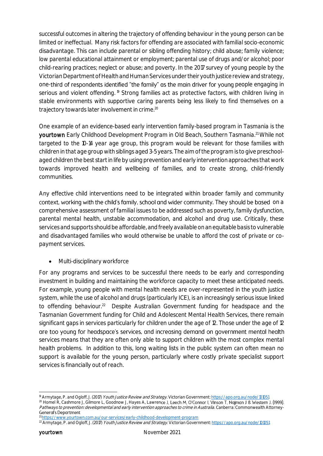successful outcomes in altering the trajectory of offending behaviour in the young person can be limited or ineffectual. Many risk factors for offending are associated with familial socio-economic disadvantage. This can include parental or sibling offending history; child abuse; family violence; low parental educational attainment or employment; parental use of drugs and/or alcohol; poor child-rearing practices; neglect or abuse; and poverty. In the 2017 survey of young people by the Victorian Department of Health and Human Services under their youth justice review and strategy, one-third of respondents identified "the family" as the main driver for young people engaging in serious and violent offending. <sup>19</sup> Strong families act as protective factors, with children living in stable environments with supportive caring parents being less likely to find themselves on a trajectory towards later involvement in crime.<sup>20</sup>

One example of an evidence-based early intervention family-based program in Tasmania is the yourtown Early Childhood Development Program in Old Beach, Southern Tasmania.<sup>21</sup> While not targeted to the 10-14 year age group, this program would be relevant for those families with children in that age group with siblings aged 3-5 years. The aim of the program is to give preschoolaged children the best start in life by using prevention and early intervention approaches that work towards improved health and wellbeing of families, and to create strong, child-friendly communities.

Any effective child interventions need to be integrated within broader family and community context, working with the child's family, school and wider community. They should be based on a comprehensive assessment of familial issues to be addressed such as poverty, family dysfunction, parental mental health, unstable accommodation, and alcohol and drug use. Critically, these services and supports should be affordable, and freely available on an equitable basis to vulnerable and disadvantaged families who would otherwise be unable to afford the cost of private or copayment services.

Multi-disciplinary workforce

For any programs and services to be successful there needs to be early and corresponding investment in building and maintaining the workforce capacity to meet these anticipated needs. For example, young people with mental health needs are over-represented in the youth justice system, while the use of alcohol and drugs (particularly ICE), is an increasingly serious issue linked to offending behaviour.<sup>22</sup> Despite Australian Government funding for headspace and the Tasmanian Government funding for Child and Adolescent Mental Health Services, there remain significant gaps in services particularly for children under the age of 12. Those under the age of 12 are too young for headspace's services, and increasing demand on government mental health services means that they are often only able to support children with the most complex mental health problems. In addition to this, long waiting lists in the public system can often mean no support is available for the young person, particularly where costly private specialist support services is financially out of reach.

1

<sup>&</sup>lt;sup>19</sup> Armytage, P. and Ogloff, J. (2017) Youth Justice Review and Strategy. Victorian Government[: https://apo.org.au/node/101051](https://apo.org.au/node/101051) <sup>20</sup> Homel R, Cashmore J, Gilmore L, Goodnow J, Hayes A, Lawrence J, Leech M, O'Connor I, Vinson T, Najman J & Western J. (1999). Pathways to prevention: developmental and early intervention approaches to crime in Australia. Canberra: Commonwealth Attorney-<br>General's Department <sup>21</sup> <https://www.yourtown.com.au/our-services/early-childhood-development-program>

<sup>&</sup>lt;sup>22</sup> Armytage, P. and Ogloff, J. (2017) Youth Justice Review and Strategy. Victorian Government[: https://apo.org.au/node/101051](https://apo.org.au/node/101051)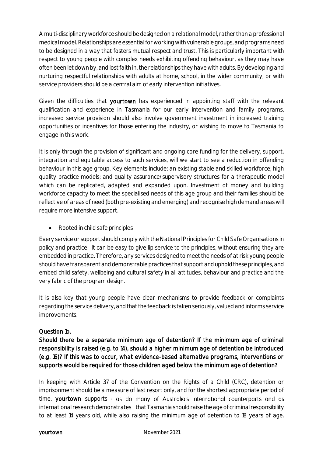A multi-disciplinary workforce should be designed on a relational model, rather than a professional medical model. Relationships are essential for working with vulnerable groups, and programs need to be designed in a way that fosters mutual respect and trust. This is particularly important with respect to young people with complex needs exhibiting offending behaviour, as they may have often been let down by, and lost faith in, the relationships they have with adults. By developing and nurturing respectful relationships with adults at home, school, in the wider community, or with service providers should be a central aim of early intervention initiatives.

Given the difficulties that yourtown has experienced in appointing staff with the relevant qualification and experience in Tasmania for our early intervention and family programs, increased service provision should also involve government investment in increased training opportunities or incentives for those entering the industry, or wishing to move to Tasmania to engage in this work.

It is only through the provision of significant and ongoing core funding for the delivery, support, integration and equitable access to such services, will we start to see a reduction in offending behaviour in this age group. Key elements include: an existing stable and skilled workforce; high quality practice models; and quality assurance/supervisory structures for a therapeutic model which can be replicated, adapted and expanded upon. Investment of money and building workforce capacity to meet the specialised needs of this age group and their families should be reflective of areas of need (both pre-existing and emerging) and recognise high demand areas will require more intensive support.

• Rooted in child safe principles

Every service or support should comply with the National Principles for Child Safe Organisations in policy and practice. It can be easy to give lip service to the principles, without ensuring they are embedded in practice. Therefore, any services designed to meet the needs of at risk young people should have transparent and demonstrable practices that support and uphold these principles, and embed child safety, wellbeing and cultural safety in all attitudes, behaviour and practice and the very fabric of the program design.

It is also key that young people have clear mechanisms to provide feedback or complaints regarding the service delivery, and that the feedback is taken seriously, valued and informs service improvements.

# Question 1b.

Should there be a separate minimum age of detention? If the minimum age of criminal responsibility is raised (e.g. to 14), should a higher minimum age of detention be introduced (e.g. 16)? If this was to occur, what evidence-based alternative programs, interventions or supports would be required for those children aged below the minimum age of detention?

In keeping with Article 37 of the Convention on the Rights of a Child (CRC), detention or imprisonment should be a measure of last resort only, and for the shortest appropriate period of time. yourtown supports - as do many of Australia's international counterparts and as international research demonstrates - that Tasmania should raise the age of criminal responsibility to at least 14 years old, while also raising the minimum age of detention to 18 years of age.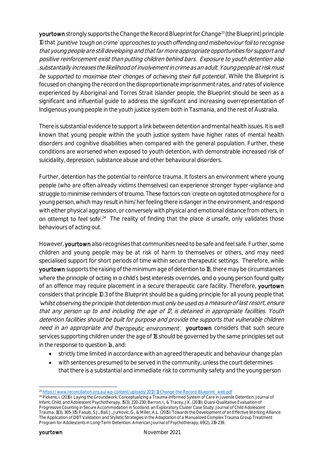yourtown strongly supports the Change the Record Blueprint for Change<sup>23</sup> (the Blueprint) principle 10 that 'punitive 'tough on crime' approaches to youth offending and misbehaviour fail to recognise that young people are still developing and that far more appropriate opportunities for support and positive reinforcement exist than putting children behind bars. Exposure to youth detention also substantially increases the likelihood of involvement in crime as an adult. Young people at risk must be supported to maximise their changes of achieving their full potential'. While the Blueprint is focused on changing the record on the disproportionate imprisonment rates, and rates of violence experienced by Aboriginal and Torres Strait Islander people, the Blueprint should be seen as a significant and influential guide to address the significant and increasing overrepresentation of Indigenous young people in the youth justice system both in Tasmania, and the rest of Australia.

There is substantial evidence to support a link between detention and mental health issues. It is well known that young people within the youth justice system have higher rates of mental health disorders and cognitive disabilities when compared with the general population. Further, these conditions are worsened when exposed to youth detention, with demonstrable increased risk of suicidality, depression, substance abuse and other behavioural disorders.

Further, detention has the potential to reinforce trauma. It fosters an environment where young people (who are often already victims themselves) can experience stronger hyper-vigilance and struggle to minimise reminders of trauma. These factors can 'create an agitated atmosphere for a young person, which may result in him/her feeling there is danger in the environment, and respond with either physical aggression, or conversely with physical and emotional distance from others, in  $24$  The reality of finding that the place is unsafe, only validates those behaviours of acting out.

However, yourtown also recognises that communities need to be safe and feel safe. Further, some children and young people may be at risk of harm to themselves or others, and may need specialised support for short periods of time within secure therapeutic settings. Therefore, while yourtown supports the raising of the minimum age of detention to 18, there may be circumstances where the principle of acting in a child's best interests overrides, and a young person found quilty of an offence may require placement in a secure therapeutic care facility. Therefore, yourtown considers that principle 10.3 of the Blueprint should be a guiding principle for all young people that 'whilst observing the principle that detention must only be used as a measure of last resort, ensure that any person up to and including the age of 17, is detained in appropriate facilities. Youth detention facilities should be built for purpose and provide the supports that vulnerable children need in an appropriate and therapeutic environment'. yourtown considers that such secure services supporting children under the age of 18 should be governed by the same principles set out in the response to question 1a, and:

- strictly time limited in accordance with an agreed therapeutic and behaviour change plan
- with sentences presumed to be served in the community, unless the court determines that there is a substantial and immediate risk to community safety and the young person

<sup>1</sup> <sup>23</sup> [https://www.reconciliation.org.au/wp-content/uploads/2017/11/Change-the-Record-Blueprint\\_web.pdf](https://www.reconciliation.org.au/wp-content/uploads/2017/11/Change-the-Record-Blueprint_web.pdf)

<sup>&</sup>lt;sup>24</sup> Pickens, I. (2016). Laying the Groundwork: Conceptualizing a Trauma-Informed System of Care in Juvenile Detention. Journal of Infant, Child, and Adolescent Psychotherapy, 15(3), 220-230; Barron, I., & Tracey, J.K. (2018). Quasi-Qualitative Evaluation of Progressive Counting in Secure Accommodation in Scotland: an Exploratory Cluster Case Study. Journal of Child Adolescent Trauma, 11(3), 305-315; Fasulo, S.J., Ball, J., Jurkovic, G., & Miller, A.L. (2015). Towards the Development of an Effective Working Alliance: The Application of DBT Validation and Stylistic Strategies in the Adaptation of a Manualized Complex Trauma Group Treatment Program for Adolescents in Long-Term Detention. American Journal of Psychotherapy, 69(2), 219-239.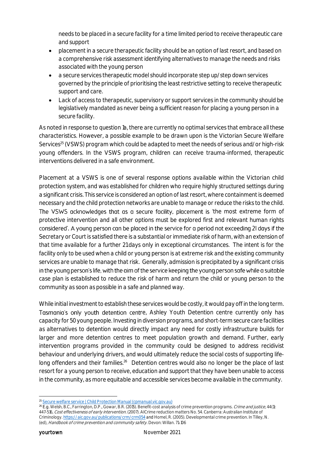needs to be placed in a secure facility for a time limited period to receive therapeutic care and support

- placement in a secure therapeutic facility should be an option of last resort, and based on a comprehensive risk assessment identifying alternatives to manage the needs and risks associated with the young person
- a secure services therapeutic model should incorporate step up/step down services governed by the principle of prioritising the least restrictive setting to receive therapeutic support and care.
- Lack of access to therapeutic, supervisory or support services in the community should be legislatively mandated as never being a sufficient reason for placing a young person in a secure facility.

As noted in response to question 1a, there are currently no optimal services that embrace all these characteristics. However, a possible example to be drawn upon is the Victorian Secure Welfare Services<sup>25</sup> (VSWS) program which could be adapted to meet the needs of serious and/or high-risk young offenders. In the VSWS program, children can receive trauma-informed, therapeutic interventions delivered in a safe environment.

Placement at a VSWS is one of several response options available within the Victorian child protection system, and was established for children who require highly structured settings during a significant crisis. This service is considered an option of last resort, where containment is deemed necessary and the child protection networks are unable to manage or reduce the risks to the child. The VSWS acknowledges that as a secure facility, placement is 'the most extreme form of protective intervention and all other options must be explored first and relevant human rights considered'. A young person can be placed in the service for a period not exceeding 21 days if the Secretary or Court is satisfied there is a substantial or immediate risk of harm, with an extension of that time available for a further 21 days only in exceptional circumstances. The intent is for the facility only to be used when a child or young person is at extreme risk and the existing community services are unable to manage that risk. Generally, admission is precipitated by a significant crisis in the young person's life, with the aim of the service keeping the young person safe while a suitable case plan is established to reduce the risk of harm and return the child or young person to the community as soon as possible in a safe and planned way.

While initial investment to establish these services would be costly, it would pay off in the long term. Tasmania's only youth detention centre, Ashley Youth Detention centre currently only has capacity for 50 young people. Investing in diversion programs, and short-term secure care facilities as alternatives to detention would directly impact any need for costly infrastructure builds for larger and more detention centres to meet population growth and demand. Further, early intervention programs provided in the community could be designed to address recidivist behaviour and underlying drivers, and would ultimately reduce the social costs of supporting lifelong offenders and their families.<sup>26</sup> Detention centres would also no longer be the place of last resort for a young person to receive, education and support that they have been unable to access in the community, as more equitable and accessible services become available in the community.

<sup>-</sup><sup>25</sup> <u>[Secure welfare service | Child Protection Manual \(cpmanual.vic.gov.au\)](https://www.cpmanual.vic.gov.au/advice-and-protocols/service-descriptions/out-home-care/secure-welfare-service)</u>

<sup>&</sup>lt;sup>26</sup> E.g. Welsh, B.C., Farrington, D.P., Gowar, B.R. (2015). Benefit-cost analysis of crime prevention programs. *Crime and justice*, 44(1): 447-516, Cost effectiveness of early intervention. (2007). AICrime reduction matters No. 54. Canberra: Australian Institute of Criminology. <https://aic.gov.au/publications/crm/crm054> and Homel, R. (2005). Developmental crime prevention. In Tilley, N. (ed), Handbook of crime prevention and community safety. Devon: Willan. 71-106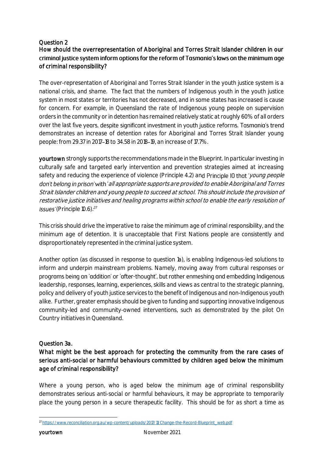# Question 2

# How should the overrepresentation of Aboriginal and Torres Strait Islander children in our criminal justice system inform options for the reform of Tasmania's laws on the minimum age of criminal responsibility?

The over-representation of Aboriginal and Torres Strait Islander in the youth justice system is a national crisis, and shame. The fact that the numbers of Indigenous youth in the youth justice system in most states or territories has not decreased, and in some states has increased is cause for concern. For example, in Queensland the rate of Indigenous young people on supervision orders in the community or in detention has remained relatively static at roughly 60% of all orders over the last five years, despite significant investment in youth justice reforms. Tasmania's trend demonstrates an increase of detention rates for Aboriginal and Torres Strait Islander young people: from 29.37 in 2017 18 to 34.58 in 2018 19, an increase of 17.7%.

yourtown strongly supports the recommendations made in the Blueprint. In particular investing in culturally safe and targeted early intervention and prevention strategies aimed at increasing safety and reducing the experience of violence (Principle 4.2) and Principle 10 that 'young people don't belong in prison' with 'all appropriate supports are provided to enable Aboriginal and Torres Strait Islander children and young people to succeed at school. This should include the provision of restorative justice initiatives and healing programs within school to enable the early resolution of (Principle 10.6). 27

This crisis should drive the imperative to raise the minimum age of criminal responsibility, and the minimum age of detention. It is unacceptable that First Nations people are consistently and disproportionately represented in the criminal justice system.

Another option (as discussed in response to question 1a), is enabling Indigenous-led solutions to inform and underpin mainstream problems. Namely, moving away from cultural responses or programs being an 'addition' or 'after-thought', but rather enmeshing and embedding Indigenous leadership, responses, learning, experiences, skills and views as central to the strategic planning, policy and delivery of youth justice services to the benefit of Indigenous and non-Indigenous youth alike. Further, greater emphasis should be given to funding and supporting innovative Indigenous community-led and community-owned interventions, such as demonstrated by the pilot On Country initiatives in Queensland.

### Question 3a.

# What might be the best approach for protecting the community from the rare cases of serious anti-social or harmful behaviours committed by children aged below the minimum age of criminal responsibility?

Where a young person, who is aged below the minimum age of criminal responsibility demonstrates serious anti-social or harmful behaviours, it may be appropriate to temporarily place the young person in a secure therapeutic facility. This should be for as short a time as

<sup>-</sup><sup>27</sup> [https://www.reconciliation.org.au/wp-content/uploads/2017/11/Change-the-Record-Blueprint\\_web.pdf](https://www.reconciliation.org.au/wp-content/uploads/2017/11/Change-the-Record-Blueprint_web.pdf)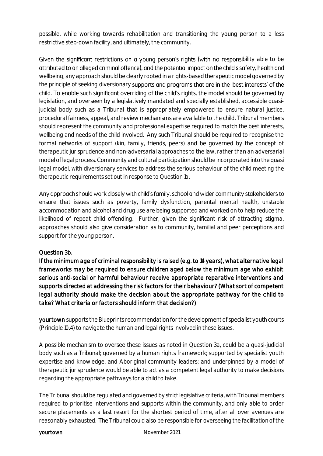possible, while working towards rehabilitation and transitioning the young person to a less restrictive step-down facility, and ultimately, the community.

Given the significant restrictions on a young person's rights (with no responsibility able to be attributed to an alleged criminal offence), and the potential impact on the child's safety, health and wellbeing, any approach should be clearly rooted in a rights-based therapeutic model governed by the principle of seeking diversionary supports and programs that are in the 'best interests' of the child. To enable such significant overriding of the child's rights, the model should be governed by legislation, and overseen by a legislatively mandated and specially established, accessible quasijudicial body such as a Tribunal that is appropriately empowered to ensure natural justice, procedural fairness, appeal, and review mechanisms are available to the child. Tribunal members should represent the community and professional expertise required to match the best interests, wellbeing and needs of the child involved. Any such Tribunal should be required to recognise the formal networks of support (kin, family, friends, peers) and be governed by the concept of therapeutic jurisprudence and non-adversarial approaches to the law, rather than an adversarial model of legal process. Community and cultural participation should be incorporated into the quasi legal model, with diversionary services to address the serious behaviour of the child meeting the therapeutic requirements set out in response to Question 1a.

Any approach should work closely with child's family, school and wider community stakeholders to ensure that issues such as poverty, family dysfunction, parental mental health, unstable accommodation and alcohol and drug use are being supported and worked on to help reduce the likelihood of repeat child offending. Further, given the significant risk of attracting stigma, approaches should also give consideration as to community, familial and peer perceptions and support for the young person.

### Question 3b.

If the minimum age of criminal responsibility is raised (e.g. to 14 years), what alternative legal frameworks may be required to ensure children aged below the minimum age who exhibit serious anti-social or harmful behaviour receive appropriate reparative interventions and supports directed at addressing the risk factors for their behaviour? (What sort of competent legal authority should make the decision about the appropriate pathway for the child to take? What criteria or factors should inform that decision?)

yourtown supports the Blueprints recommendation for the development of specialist youth courts (Principle 10.4) to navigate the human and legal rights involved in these issues.

A possible mechanism to oversee these issues as noted in Question 3a, could be a quasi-judicial body such as a Tribunal; governed by a human rights framework; supported by specialist youth expertise and knowledge, and Aboriginal community leaders; and underpinned by a model of therapeutic jurisprudence would be able to act as a competent legal authority to make decisions regarding the appropriate pathways for a child to take.

The Tribunal should be regulated and governed by strict legislative criteria, with Tribunal members required to prioritise interventions and supports within the community, and only able to order secure placements as a last resort for the shortest period of time, after all over avenues are reasonably exhausted. The Tribunal could also be responsible for overseeing the facilitation of the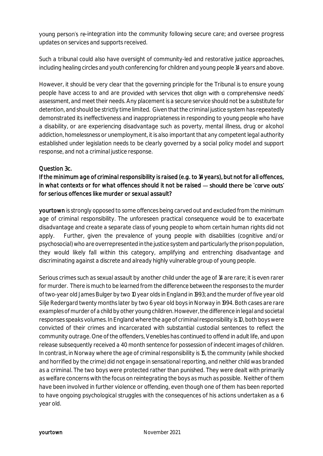young person's re-integration into the community following secure care; and oversee progress updates on services and supports received.

Such a tribunal could also have oversight of community-led and restorative justice approaches, including healing circles and youth conferencing for children and young people 14 years and above.

However, it should be very clear that the governing principle for the Tribunal is to ensure young people have access to and are provided with services that align with a comprehensive needs' assessment, and meet their needs. Any placement is a secure service should not be a substitute for detention, and should be strictly time limited. Given that the criminal justice system has repeatedly demonstrated its ineffectiveness and inappropriateness in responding to young people who have a disability, or are experiencing disadvantage such as poverty, mental illness, drug or alcohol addiction, homelessness or unemployment, it is also important that any competent legal authority established under legislation needs to be clearly governed by a social policy model and support response, and not a criminal justice response.

### Question 3c.

# If the minimum age of criminal responsibility is raised (e.g. to 14 years), but not for all offences, in what contexts or for what offences should it not be raised  $-$  should there be 'carve outs' for serious offences like murder or sexual assault?

yourtown is strongly opposed to some offences being carved out and excluded from the minimum age of criminal responsibility. The unforeseen practical consequence would be to exacerbate disadvantage and create a separate class of young people to whom certain human rights did not apply. Further, given the prevalence of young people with disabilities (cognitive and/or psychosocial) who are overrepresented in the justice system and particularly the prison population, they would likely fall within this category, amplifying and entrenching disadvantage and discriminating against a discrete and already highly vulnerable group of young people.

Serious crimes such as sexual assault by another child under the age of 14 are rare; it is even rarer for murder. There is much to be learned from the difference between the responses to the murder of two-year old James Bulger by two 10 year olds in England in 1993; and the murder of five year old Silje Redergard twenty months later by two 6 year old boys in Norway in 1994. Both cases are rare examples of murder of a child by other young children. However, the difference in legal and societal responses speaks volumes. In England where the age of criminal responsibility is 10, both boys were convicted of their crimes and incarcerated with substantial custodial sentences to reflect the community outrage. One of the offenders, Venebles has continued to offend in adult life, and upon release subsequently received a 40 month sentence for possession of indecent images of children. In contrast, in Norway where the age of criminal responsibility is 15, the community (while shocked and horrified by the crime) did not engage in sensational reporting, and neither child was branded as a criminal. The two boys were protected rather than punished. They were dealt with primarily as welfare concerns with the focus on reintegrating the boys as much as possible. Neither of them have been involved in further violence or offending, even though one of them has been reported to have ongoing psychological struggles with the consequences of his actions undertaken as a 6 year old.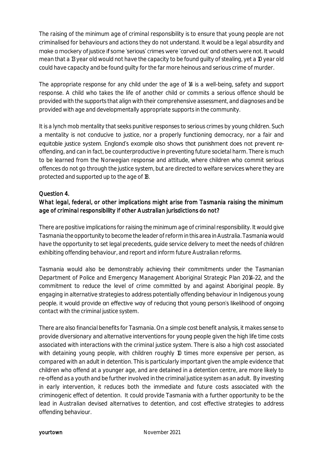The raising of the minimum age of criminal responsibility is to ensure that young people are not criminalised for behaviours and actions they do not understand. It would be a legal absurdity and make a mockery of justice if some 'serious' crimes were 'carved out' and others were not. It would mean that a 13 year old would not have the capacity to be found guilty of stealing, yet a 10 year old could have capacity and be found guilty for the far more heinous and serious crime of murder.

The appropriate response for any child under the age of 14 is a well-being, safety and support response. A child who takes the life of another child or commits a serious offence should be provided with the supports that align with their comprehensive assessment, and diagnoses and be provided with age and developmentally appropriate supports in the community.

It is a lynch mob mentality that seeks punitive responses to serious crimes by young children. Such a mentality is not conducive to justice, nor a properly functioning democracy, nor a fair and equitable justice system. England's example also shows that punishment does not prevent reoffending, and can in fact, be counterproductive in preventing future societal harm. There is much to be learned from the Norwegian response and attitude, where children who commit serious offences do not go through the justice system, but are directed to welfare services where they are protected and supported up to the age of 18.

# Question 4.

# What legal, federal, or other implications might arise from Tasmania raising the minimum age of criminal responsibility if other Australian jurisdictions do not?

There are positive implications for raising the minimum age of criminal responsibility. It would give Tasmania the opportunity to become the leader of reform in this area in Australia. Tasmania would have the opportunity to set legal precedents, guide service delivery to meet the needs of children exhibiting offending behaviour, and report and inform future Australian reforms.

Tasmania would also be demonstrably achieving their commitments under the Tasmanian Department of Police and Emergency Management Aboriginal Strategic Plan 2014-22, and the commitment to reduce the level of crime committed by and against Aboriginal people. By engaging in alternative strategies to address potentially offending behaviour in Indigenous young people, it would provide an effective way of reducing that young person's likelihood of ongoing contact with the criminal justice system.

There are also financial benefits for Tasmania. On a simple cost benefit analysis, it makes sense to provide diversionary and alternative interventions for young people given the high life time costs associated with interactions with the criminal justice system. There is also a high cost associated with detaining young people, with children roughly 10 times more expensive per person, as compared with an adult in detention. This is particularly important given the ample evidence that children who offend at a younger age, and are detained in a detention centre, are more likely to re-offend as a youth and be further involved in the criminal justice system as an adult. By investing in early intervention, it reduces both the immediate and future costs associated with the criminogenic effect of detention. It could provide Tasmania with a further opportunity to be the lead in Australian devised alternatives to detention, and cost effective strategies to address offending behaviour.